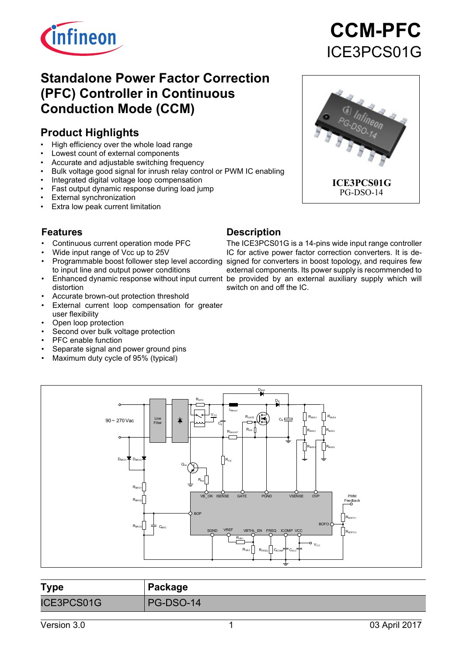

## **Standalone Power Factor Correction (PFC) Controller in Continuous Conduction Mode (CCM)**

## **Product Highlights**

- High efficiency over the whole load range
- Lowest count of external components
- Accurate and adjustable switching frequency
- Bulk voltage good signal for inrush relay control or PWM IC enabling
- Integrated digital voltage loop compensation
- Fast output dynamic response during load jump
- **External synchronization**
- Extra low peak current limitation

#### **Features**

- Continuous current operation mode PFC
- Wide input range of Vcc up to 25V
- to input line and output power conditions
- distortion
- Accurate brown-out protection threshold
- External current loop compensation for greater user flexibility
- Open loop protection
- Second over bulk voltage protection
- PFC enable function
- Separate signal and power ground pins
- Maximum duty cycle of 95% (typical)

#### **Description**

• Programmable boost follower step level according signed for converters in boost topology, and requires few • Enhanced dynamic response without input current be provided by an external auxiliary supply which will The ICE3PCS01G is a 14-pins wide input range controller IC for active power factor correction converters. It is deexternal components. Its power supply is recommended to switch on and off the IC.



| <b>Type</b> | Package   |
|-------------|-----------|
| ICE3PCS01G  | PG-DSO-14 |

# **CCM-PFC** ICE3PCS01G

**ICE3PCS01G** PG-DSO-14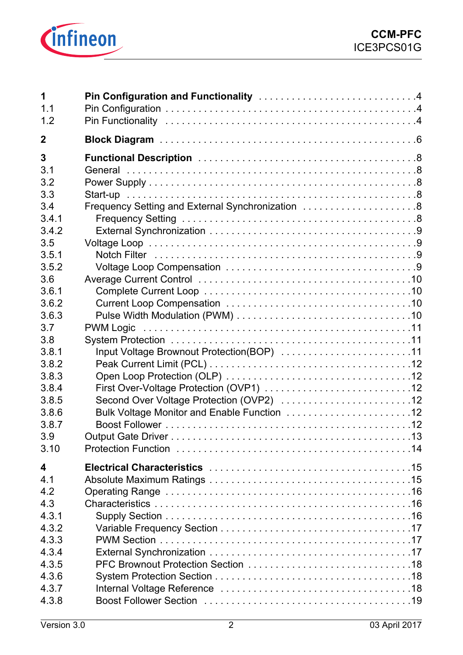

| Frequency Setting and External Synchronization 8 |                                             |
|--------------------------------------------------|---------------------------------------------|
|                                                  |                                             |
|                                                  |                                             |
| Input Voltage Brownout Protection(BOP) 11        |                                             |
| Second Over Voltage Protection (OVP2) 12         |                                             |
|                                                  |                                             |
|                                                  |                                             |
|                                                  | Bulk Voltage Monitor and Enable Function 12 |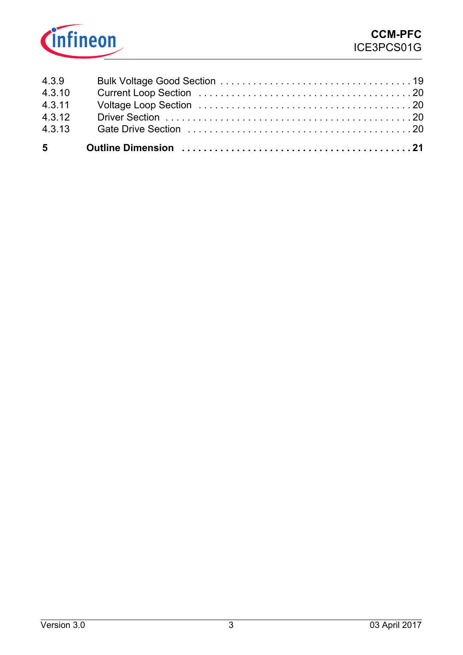

| 4.3.13 |  |
|--------|--|
| 4.3.12 |  |
| 4.3.11 |  |
| 4.3.10 |  |
| 4.3.9  |  |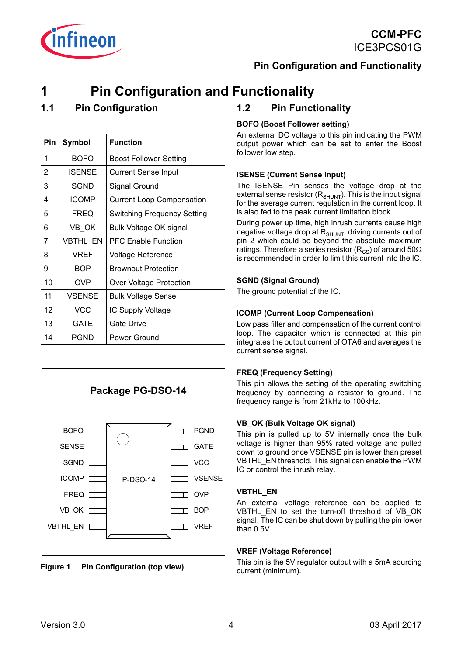



## <span id="page-3-0"></span>**1 Pin Configuration and Functionality**

## <span id="page-3-1"></span>**1.1 Pin Configuration**

*infineon* 

| Pin | Symbol        | <b>Function</b>                  |
|-----|---------------|----------------------------------|
| 1   | <b>BOFO</b>   | <b>Boost Follower Setting</b>    |
| 2   | ISENSE        | <b>Current Sense Input</b>       |
| 3   | SGND          | Signal Ground                    |
| 4   | <b>ICOMP</b>  | <b>Current Loop Compensation</b> |
| 5   | <b>FREQ</b>   | Switching Frequency Setting      |
| 6   | VB OK         | Bulk Voltage OK signal           |
| 7   | VBTHL EN      | <b>PFC Enable Function</b>       |
| 8   | <b>VREF</b>   | <b>Voltage Reference</b>         |
| 9   | <b>BOP</b>    | <b>Brownout Protection</b>       |
| 10  | <b>OVP</b>    | Over Voltage Protection          |
| 11  | <b>VSENSE</b> | <b>Bulk Voltage Sense</b>        |
| 12  | VCC           | IC Supply Voltage                |
| 13  | GATE          | Gate Drive                       |
| 14  | <b>PGND</b>   | Power Ground                     |





### <span id="page-3-2"></span>**1.2 Pin Functionality**

#### **BOFO (Boost Follower setting)**

An external DC voltage to this pin indicating the PWM output power which can be set to enter the Boost follower low step.

#### **ISENSE (Current Sense Input)**

The ISENSE Pin senses the voltage drop at the external sense resistor  $(R_{SHUNT})$ . This is the input signal for the average current regulation in the current loop. It is also fed to the peak current limitation block.

During power up time, high inrush currents cause high negative voltage drop at  $R_{\text{SHUNT}}$ , driving currents out of pin 2 which could be beyond the absolute maximum ratings. Therefore a series resistor ( $R_{\text{CS}}$ ) of around 50 $\Omega$ is recommended in order to limit this current into the IC.

#### **SGND (Signal Ground)**

The ground potential of the IC.

#### **ICOMP (Current Loop Compensation)**

Low pass filter and compensation of the current control loop. The capacitor which is connected at this pin integrates the output current of OTA6 and averages the current sense signal.

#### **FREQ (Frequency Setting)**

This pin allows the setting of the operating switching frequency by connecting a resistor to ground. The frequency range is from 21kHz to 100kHz.

#### **VB\_OK (Bulk Voltage OK signal)**

This pin is pulled up to 5V internally once the bulk voltage is higher than 95% rated voltage and pulled down to ground once VSENSE pin is lower than preset VBTHL\_EN threshold. This signal can enable the PWM IC or control the inrush relay.

#### **VBTHL\_EN**

An external voltage reference can be applied to VBTHL\_EN\_to\_set\_the\_turn-off\_threshold\_of\_VB\_OK signal. The IC can be shut down by pulling the pin lower than 0.5V

#### **VREF (Voltage Reference)**

This pin is the 5V regulator output with a 5mA sourcing current (minimum).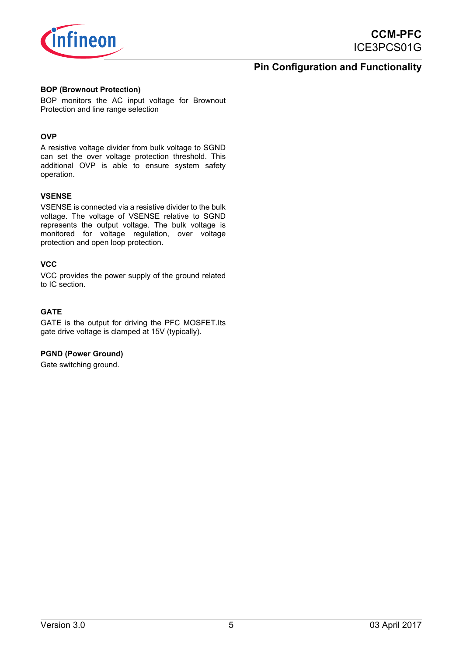

### **Pin Configuration and Functionality**

#### **BOP (Brownout Protection)**

BOP monitors the AC input voltage for Brownout Protection and line range selection

#### **OVP**

A resistive voltage divider from bulk voltage to SGND can set the over voltage protection threshold. This additional OVP is able to ensure system safety operation.

#### **VSENSE**

VSENSE is connected via a resistive divider to the bulk voltage. The voltage of VSENSE relative to SGND represents the output voltage. The bulk voltage is monitored for voltage regulation, over voltage protection and open loop protection.

#### **VCC**

VCC provides the power supply of the ground related to IC section.

#### **GATE**

GATE is the output for driving the PFC MOSFET.Its gate drive voltage is clamped at 15V (typically).

#### **PGND (Power Ground)**

Gate switching ground.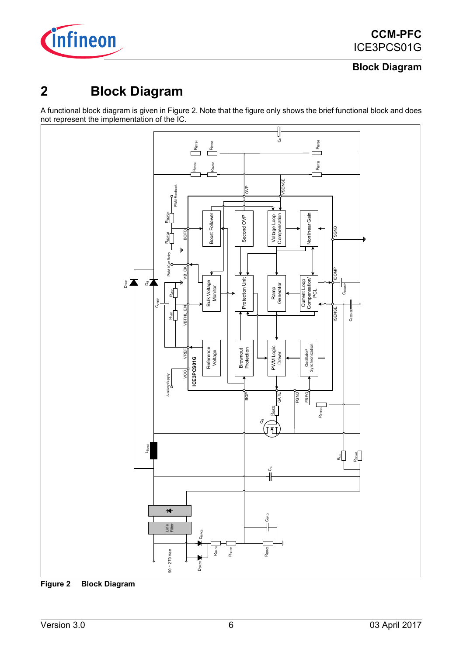

## **Block Diagram**

## <span id="page-5-0"></span>**2 Block Diagram**

A functional block diagram is given in Figure 2. Note that the figure only shows the brief functional block and does not represent the implementation of the IC.



**Figure 2 Block Diagram**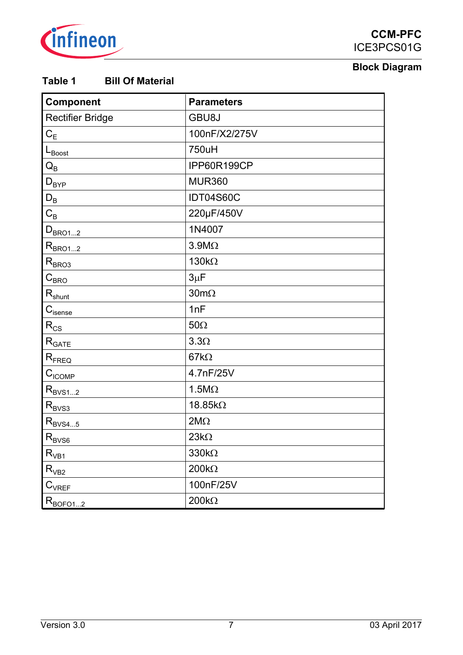

## **Block Diagram**

## **Table 1 Bill Of Material**

| Component                                               | <b>Parameters</b>   |
|---------------------------------------------------------|---------------------|
| Rectifier Bridge                                        | GBU8J               |
| $C_E$                                                   | 100nF/X2/275V       |
| $L_{\text{Boost}}$                                      | 750uH               |
| $\mathsf{Q}_\mathsf{B}$                                 | IPP60R199CP         |
| $\mathsf{D}_{\mathsf{BYP}}$                             | <b>MUR360</b>       |
| $D_B$                                                   | IDT04S60C           |
| $\mathrm{C}_{\mathrm{B}}$                               | 220µF/450V          |
| $D_{BRO12}$                                             | 1N4007              |
| $R_{BRO12}$                                             | $3.9 M\Omega$       |
| $R_{BRO3}$                                              | $130k\Omega$        |
| $C_{BRQ}$                                               | $3\mu$ F            |
| $R_{shunt}$                                             | $30 \text{m}\Omega$ |
| $\mathbf{C}_{\text{isense}}$                            | 1nF                 |
| $\rm\,R_{CS}$                                           | $50\Omega$          |
| $\mathsf{R}_{\mathsf{GATE}}$                            | $3.3\Omega$         |
| $R_{FREQ}$                                              | 67k $\Omega$        |
| $C_{\text{ICOMP}}$                                      | 4.7nF/25V           |
| $R_{\text{BVS1}2}$                                      | $1.5M\Omega$        |
| $R_{\text{BVS3}}$                                       | 18.85kΩ             |
| $\mathsf{R}_{\mathsf{BV}\underline{\mathsf{S4}\dots5}}$ | $2M\Omega$          |
| $\rm R_{\rm BVS6}$                                      | $23k\Omega$         |
| $\mathsf{R}_{\mathsf{VB1}}$                             | $330k\Omega$        |
| $R_{VB2}$                                               | $200k\Omega$        |
| $\mathsf{C}_{\mathsf{VREF}}$                            | 100nF/25V           |
| $R_{\text{BOFQ12}}$                                     | $200k\Omega$        |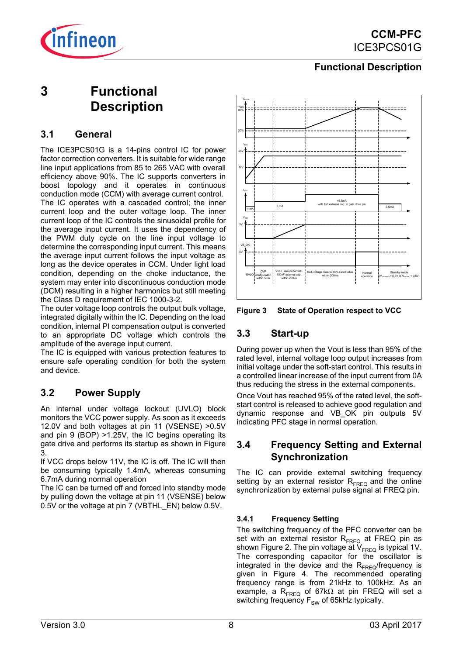

## <span id="page-7-0"></span>**3 Functional Description**

### <span id="page-7-1"></span>**3.1 General**

The ICE3PCS01G is a 14-pins control IC for power factor correction converters. It is suitable for wide range line input applications from 85 to 265 VAC with overall efficiency above 90%. The IC supports converters in boost topology and it operates in continuous conduction mode (CCM) with average current control. The IC operates with a cascaded control; the inner current loop and the outer voltage loop. The inner current loop of the IC controls the sinusoidal profile for the average input current. It uses the dependency of the PWM duty cycle on the line input voltage to determine the corresponding input current. This means the average input current follows the input voltage as long as the device operates in CCM. Under light load condition, depending on the choke inductance, the system may enter into discontinuous conduction mode (DCM) resulting in a higher harmonics but still meeting the Class D requirement of IEC 1000-3-2.

The outer voltage loop controls the output bulk voltage, integrated digitally within the IC. Depending on the load condition, internal PI compensation output is converted to an appropriate DC voltage which controls the amplitude of the average input current.

The IC is equipped with various protection features to ensure safe operating condition for both the system and device.

## <span id="page-7-2"></span>**3.2 Power Supply**

An internal under voltage lockout (UVLO) block monitors the VCC power supply. As soon as it exceeds 12.0V and both voltages at pin 11 (VSENSE) >0.5V and pin 9 (BOP) >1.25V, the IC begins operating its gate drive and performs its startup as shown in Figure 3.

If VCC drops below 11V, the IC is off. The IC will then be consuming typically 1.4mA, whereas consuming 6.7mA during normal operation

The IC can be turned off and forced into standby mode by pulling down the voltage at pin 11 (VSENSE) below 0.5V or the voltage at pin 7 (VBTHL\_EN) below 0.5V.



**Figure 3 State of Operation respect to VCC**

## <span id="page-7-3"></span>**3.3 Start-up**

During power up when the Vout is less than 95% of the rated level, internal voltage loop output increases from initial voltage under the soft-start control. This results in a controlled linear increase of the input current from 0A thus reducing the stress in the external components.

Once Vout has reached 95% of the rated level, the softstart control is released to achieve good regulation and dynamic response and VB\_OK pin outputs 5V indicating PFC stage in normal operation.

## <span id="page-7-4"></span>**3.4 Frequency Setting and External Synchronization**

The IC can provide external switching frequency setting by an external resistor  $R_{EPLQ}$  and the online synchronization by external pulse signal at FREQ pin.

#### <span id="page-7-5"></span>**3.4.1 Frequency Setting**

The switching frequency of the PFC converter can be set with an external resistor  $R_{FREQ}$  at FREQ pin as shown Figure 2. The pin voltage at  $V_{FRFO}$  is typical 1V. The corresponding capacitor for the oscillator is integrated in the device and the  $R_{FREQ}$ /frequency is given in Figure 4. The recommended operating frequency range is from 21kHz to 100kHz. As an example, a R<sub>FREQ</sub> of 67k $\Omega$  at pin FREQ will set a switching frequency  $F_{SW}$  of 65kHz typically.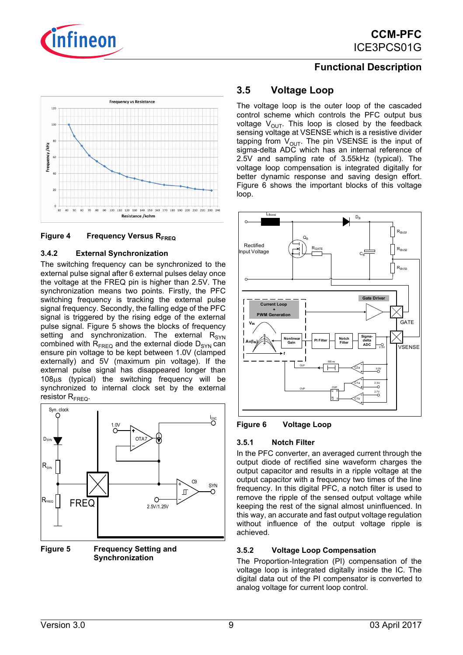



#### **Figure 4 Frequency Versus R<sub>EPEO</sub>**

#### <span id="page-8-0"></span>**3.4.2 External Synchronization**

The switching frequency can be synchronized to the external pulse signal after 6 external pulses delay once the voltage at the FREQ pin is higher than 2.5V. The synchronization means two points. Firstly, the PFC switching frequency is tracking the external pulse signal frequency. Secondly, the falling edge of the PFC signal is triggered by the rising edge of the external pulse signal. Figure 5 shows the blocks of frequency setting and synchronization. The external  $R_{\text{SYN}}$ combined with  $R_{\text{FRFQ}}$  and the external diode  $D_{\text{SYN}}$  can ensure pin voltage to be kept between 1.0V (clamped externally) and 5V (maximum pin voltage). If the external pulse signal has disappeared longer than 108μs (typical) the switching frequency will be synchronized to internal clock set by the external resistor  $R_{\text{FRFO}}$ .



**Figure 5 Frequency Setting and Synchronization**

## <span id="page-8-1"></span>**3.5 Voltage Loop**

The voltage loop is the outer loop of the cascaded control scheme which controls the PFC output bus voltage  $V_{\text{out}}$ . This loop is closed by the feedback sensing voltage at VSENSE which is a resistive divider tapping from  $V_{\text{OUT}}$ . The pin VSENSE is the input of sigma-delta ADC which has an internal reference of 2.5V and sampling rate of 3.55kHz (typical). The voltage loop compensation is integrated digitally for better dynamic response and saving design effort. Figure 6 shows the important blocks of this voltage loop.



#### **Figure 6 Voltage Loop**

#### <span id="page-8-2"></span>**3.5.1 Notch Filter**

In the PFC converter, an averaged current through the output diode of rectified sine waveform charges the output capacitor and results in a ripple voltage at the output capacitor with a frequency two times of the line frequency. In this digital PFC, a notch filter is used to remove the ripple of the sensed output voltage while keeping the rest of the signal almost uninfluenced. In this way, an accurate and fast output voltage regulation without influence of the output voltage ripple is achieved.

#### <span id="page-8-3"></span>**3.5.2 Voltage Loop Compensation**

The Proportion-Integration (PI) compensation of the voltage loop is integrated digitally inside the IC. The digital data out of the PI compensator is converted to analog voltage for current loop control.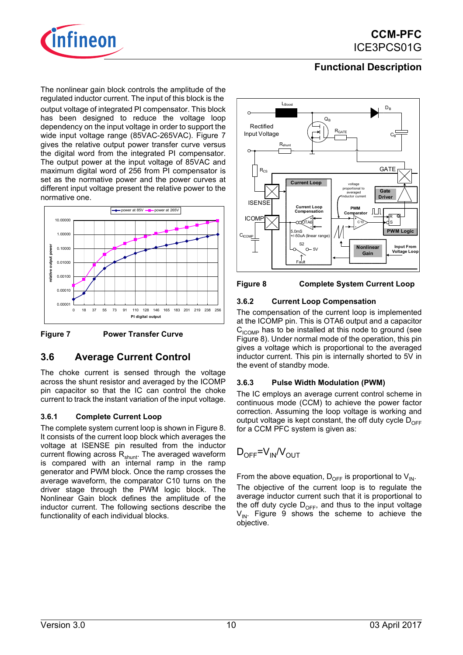

The nonlinear gain block controls the amplitude of the regulated inductor current. The input of this block is the

output voltage of integrated PI compensator. This block has been designed to reduce the voltage loop dependency on the input voltage in order to support the wide input voltage range (85VAC-265VAC). Figure 7 gives the relative output power transfer curve versus the digital word from the integrated PI compensator. The output power at the input voltage of 85VAC and maximum digital word of 256 from PI compensator is set as the normative power and the power curves at different input voltage present the relative power to the normative one.



**Figure 7 Power Transfer Curve**

### <span id="page-9-0"></span>**3.6 Average Current Control**

The choke current is sensed through the voltage across the shunt resistor and averaged by the ICOMP pin capacitor so that the IC can control the choke current to track the instant variation of the input voltage.

#### <span id="page-9-1"></span>**3.6.1 Complete Current Loop**

The complete system current loop is shown in Figure 8. It consists of the current loop block which averages the voltage at ISENSE pin resulted from the inductor current flowing across  $R_{shunt}$ . The averaged waveform is compared with an internal ramp in the ramp generator and PWM block. Once the ramp crosses the average waveform, the comparator C10 turns on the driver stage through the PWM logic block. The Nonlinear Gain block defines the amplitude of the inductor current. The following sections describe the functionality of each individual blocks.





#### <span id="page-9-2"></span>**3.6.2 Current Loop Compensation**

The compensation of the current loop is implemented at the ICOMP pin. This is OTA6 output and a capacitor  $C_{\text{ICOMP}}$  has to be installed at this node to ground (see Figure 8). Under normal mode of the operation, this pin gives a voltage which is proportional to the averaged inductor current. This pin is internally shorted to 5V in the event of standby mode.

#### <span id="page-9-3"></span>**3.6.3 Pulse Width Modulation (PWM)**

The IC employs an average current control scheme in continuous mode (CCM) to achieve the power factor correction. Assuming the loop voltage is working and output voltage is kept constant, the off duty cycle  $D_{\text{DEF}}$ for a CCM PFC system is given as:

$$
D_{\text{OFF}}=V_{\text{IN}}/V_{\text{OUT}}
$$

From the above equation,  $D_{\text{OFE}}$  is proportional to  $V_{\text{IN}}$ .

The objective of the current loop is to regulate the average inductor current such that it is proportional to the off duty cycle  $D_{\text{OFF}}$ , and thus to the input voltage  $V_{IN}$ . Figure 9 shows the scheme to achieve the objective.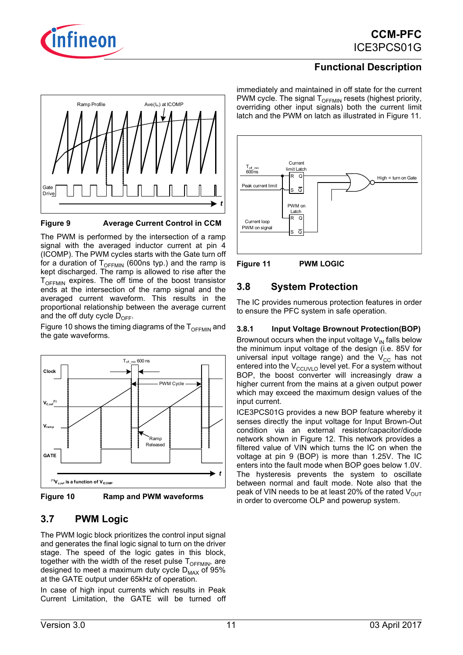





**Figure 9 Average Current Control in CCM**

The PWM is performed by the intersection of a ramp signal with the averaged inductor current at pin 4 (ICOMP). The PWM cycles starts with the Gate turn off for a duration of  $T_{\text{OFEMIN}}$  (600ns typ.) and the ramp is kept discharged. The ramp is allowed to rise after the  $T_{\text{OFEMIN}}$  expires. The off time of the boost transistor ends at the intersection of the ramp signal and the averaged current waveform. This results in the proportional relationship between the average current and the off duty cycle  $D_{DEF}$ .

Figure 10 shows the timing diagrams of the  $T_{\text{OECMM}}$  and the gate waveforms.





## <span id="page-10-0"></span>**3.7 PWM Logic**

The PWM logic block prioritizes the control input signal and generates the final logic signal to turn on the driver stage. The speed of the logic gates in this block, together with the width of the reset pulse  $T_{\text{OFEMIN}}$ , are designed to meet a maximum duty cycle  $D_{MAX}$  of 95% at the GATE output under 65kHz of operation.

In case of high input currents which results in Peak Current Limitation, the GATE will be turned off immediately and maintained in off state for the current PWM cycle. The signal  $T_{\text{OFEMIN}}$  resets (highest priority, overriding other input signals) both the current limit latch and the PWM on latch as illustrated in Figure 11.





## <span id="page-10-1"></span>**3.8 System Protection**

The IC provides numerous protection features in order to ensure the PFC system in safe operation.

#### <span id="page-10-2"></span>**3.8.1 Input Voltage Brownout Protection(BOP)**

Brownout occurs when the input voltage  $V_{\text{IN}}$  falls below the minimum input voltage of the design (i.e. 85V for universal input voltage range) and the  $V_{CC}$  has not entered into the  $V_{\text{CCUVLO}}$  level yet. For a system without BOP, the boost converter will increasingly draw a higher current from the mains at a given output power which may exceed the maximum design values of the input current.

ICE3PCS01G provides a new BOP feature whereby it senses directly the input voltage for Input Brown-Out condition via an external resistor/capacitor/diode network shown in Figure 12. This network provides a filtered value of VIN which turns the IC on when the voltage at pin 9 (BOP) is more than 1.25V. The IC enters into the fault mode when BOP goes below 1.0V. The hysteresis prevents the system to oscillate between normal and fault mode. Note also that the peak of VIN needs to be at least 20% of the rated  $V_{\text{OUT}}$ in order to overcome OLP and powerup system.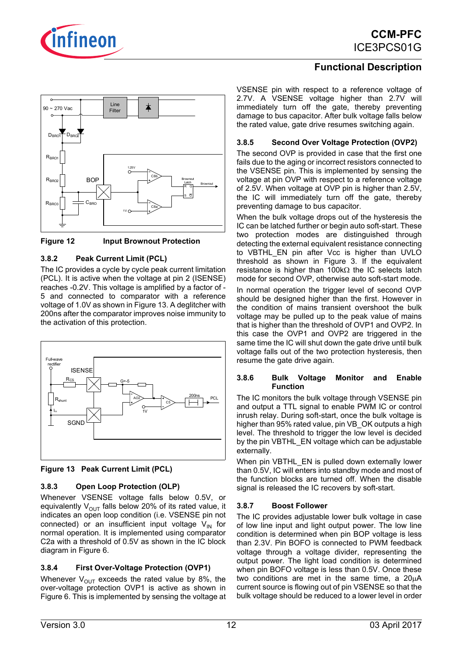



**Figure 12 Input Brownout Protection**

#### <span id="page-11-0"></span>**3.8.2 Peak Current Limit (PCL)**

The IC provides a cycle by cycle peak current limitation (PCL). It is active when the voltage at pin 2 (ISENSE) reaches -0.2V. This voltage is amplified by a factor of - 5 and connected to comparator with a reference voltage of 1.0V as shown in Figure 13. A deglitcher with 200ns after the comparator improves noise immunity to the activation of this protection.





#### <span id="page-11-1"></span>**3.8.3 Open Loop Protection (OLP)**

Whenever VSENSE voltage falls below 0.5V, or equivalently  $V_{\text{OUT}}$  falls below 20% of its rated value, it indicates an open loop condition (i.e. VSENSE pin not connected) or an insufficient input voltage  $V_{IN}$  for normal operation. It is implemented using comparator C2a with a threshold of 0.5V as shown in the IC block diagram in Figure 6.

#### <span id="page-11-2"></span>**3.8.4 First Over-Voltage Protection (OVP1)**

Whenever  $V_{\text{OUT}}$  exceeds the rated value by 8%, the over-voltage protection OVP1 is active as shown in Figure 6. This is implemented by sensing the voltage at

## **Functional Description**

VSENSE pin with respect to a reference voltage of 2.7V. A VSENSE voltage higher than 2.7V will immediately turn off the gate, thereby preventing damage to bus capacitor. After bulk voltage falls below the rated value, gate drive resumes switching again.

#### <span id="page-11-3"></span>**3.8.5 Second Over Voltage Protection (OVP2)**

The second OVP is provided in case that the first one fails due to the aging or incorrect resistors connected to the VSENSE pin. This is implemented by sensing the voltage at pin OVP with respect to a reference voltage of 2.5V. When voltage at OVP pin is higher than 2.5V, the IC will immediately turn off the gate, thereby preventing damage to bus capacitor.

When the bulk voltage drops out of the hysteresis the IC can be latched further or begin auto soft-start. These two protection modes are distinguished through detecting the external equivalent resistance connecting to VBTHL EN pin after Vcc is higher than UVLO threshold as shown in Figure 3. If the equivalent resistance is higher than 100kΩ the IC selects latch mode for second OVP, otherwise auto soft-start mode.

In normal operation the trigger level of second OVP should be designed higher than the first. However in the condition of mains transient overshoot the bulk voltage may be pulled up to the peak value of mains that is higher than the threshold of OVP1 and OVP2. In this case the OVP1 and OVP2 are triggered in the same time the IC will shut down the gate drive until bulk voltage falls out of the two protection hysteresis, then resume the gate drive again.

#### <span id="page-11-4"></span>**3.8.6 Bulk Voltage Monitor and Enable Function**

The IC monitors the bulk voltage through VSENSE pin and output a TTL signal to enable PWM IC or control inrush relay. During soft-start, once the bulk voltage is higher than 95% rated value, pin VB\_OK outputs a high level. The threshold to trigger the low level is decided by the pin VBTHL\_EN voltage which can be adjustable externally.

When pin VBTHL\_EN is pulled down externally lower than 0.5V, IC will enters into standby mode and most of the function blocks are turned off. When the disable signal is released the IC recovers by soft-start.

#### <span id="page-11-5"></span>**3.8.7 Boost Follower**

The IC provides adjustable lower bulk voltage in case of low line input and light output power. The low line condition is determined when pin BOP voltage is less than 2.3V. Pin BOFO is connected to PWM feedback voltage through a voltage divider, representing the output power. The light load condition is determined when pin BOFO voltage is less than 0.5V. Once these two conditions are met in the same time, a 20μA current source is flowing out of pin VSENSE so that the bulk voltage should be reduced to a lower level in order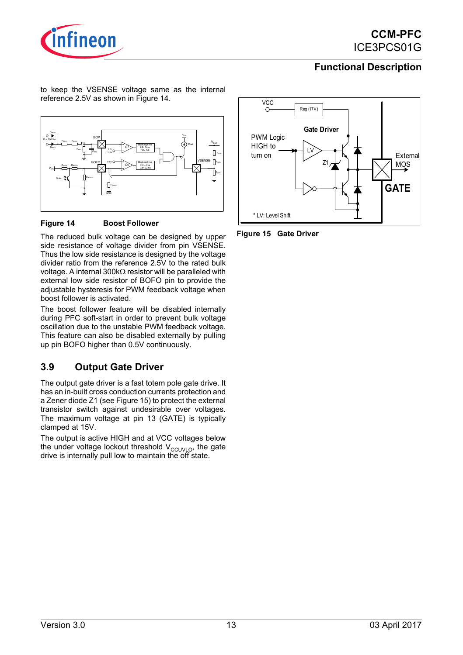

to keep the VSENSE voltage same as the internal reference 2.5V as shown in Figure 14.



#### **Figure 14 Boost Follower**

The reduced bulk voltage can be designed by upper side resistance of voltage divider from pin VSENSE. Thus the low side resistance is designed by the voltage divider ratio from the reference 2.5V to the rated bulk voltage. A internal 300kΩ resistor will be paralleled with external low side resistor of BOFO pin to provide the adjustable hysteresis for PWM feedback voltage when boost follower is activated.

The boost follower feature will be disabled internally during PFC soft-start in order to prevent bulk voltage oscillation due to the unstable PWM feedback voltage. This feature can also be disabled externally by pulling up pin BOFO higher than 0.5V continuously.

## <span id="page-12-0"></span>**3.9 Output Gate Driver**

The output gate driver is a fast totem pole gate drive. It has an in-built cross conduction currents protection and a Zener diode Z1 (see Figure 15) to protect the external transistor switch against undesirable over voltages. The maximum voltage at pin 13 (GATE) is typically clamped at 15V.

The output is active HIGH and at VCC voltages below the under voltage lockout threshold  $V_{CCUVLO}$ , the gate drive is internally pull low to maintain the off state.



**Figure 15 Gate Driver**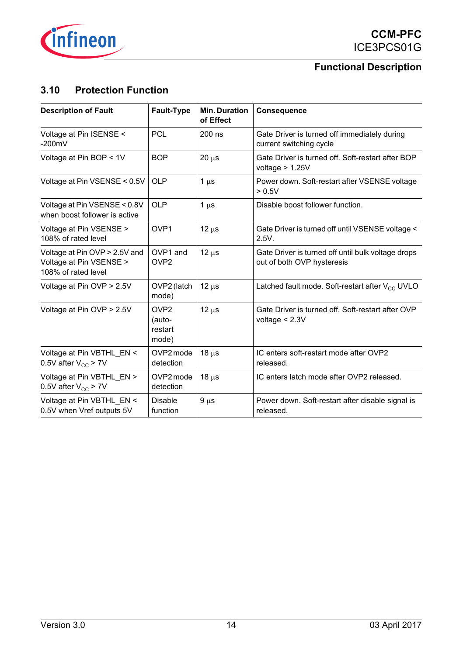

## <span id="page-13-0"></span>**3.10 Protection Function**

| <b>Description of Fault</b>                                                     | <b>Fault-Type</b>                              | <b>Min. Duration</b><br>of Effect | Consequence                                                                      |
|---------------------------------------------------------------------------------|------------------------------------------------|-----------------------------------|----------------------------------------------------------------------------------|
| Voltage at Pin ISENSE <<br>$-200mV$                                             | PCL                                            | $200$ ns                          | Gate Driver is turned off immediately during<br>current switching cycle          |
| Voltage at Pin BOP < 1V                                                         | <b>BOP</b>                                     | 20 <sub>µ</sub>                   | Gate Driver is turned off. Soft-restart after BOP<br>voltage $> 1.25V$           |
| Voltage at Pin VSENSE < 0.5V                                                    | <b>OLP</b>                                     | $1 \mu s$                         | Power down. Soft-restart after VSENSE voltage<br>> 0.5V                          |
| Voltage at Pin VSENSE < 0.8V<br>when boost follower is active                   | OLP                                            | $1 \mu s$                         | Disable boost follower function.                                                 |
| Voltage at Pin VSENSE ><br>108% of rated level                                  | OVP <sub>1</sub>                               | $12 \mu s$                        | Gate Driver is turned off until VSENSE voltage <<br>2.5V.                        |
| Voltage at Pin OVP > 2.5V and<br>Voltage at Pin VSENSE ><br>108% of rated level | OVP1 and<br>OVP <sub>2</sub>                   | $12 \mu s$                        | Gate Driver is turned off until bulk voltage drops<br>out of both OVP hysteresis |
| Voltage at Pin OVP > 2.5V                                                       | OVP2 (latch<br>mode)                           | $12µ$ s                           | Latched fault mode. Soft-restart after $V_{CC}$ UVLO                             |
| Voltage at Pin OVP > 2.5V                                                       | OV <sub>P2</sub><br>(auto-<br>restart<br>mode) | $12 \mu s$                        | Gate Driver is turned off. Soft-restart after OVP<br>voltage $< 2.3V$            |
| Voltage at Pin VBTHL EN <<br>0.5V after $V_{cc}$ > 7V                           | OVP2 mode<br>detection                         | 18 <sub>µ</sub>                   | IC enters soft-restart mode after OVP2<br>released.                              |
| Voltage at Pin VBTHL EN ><br>0.5V after $V_{CC}$ > 7V                           | OVP2 mode<br>detection                         | 18 <sub>µ</sub>                   | IC enters latch mode after OVP2 released.                                        |
| Voltage at Pin VBTHL EN <<br>0.5V when Vref outputs 5V                          | <b>Disable</b><br>function                     | $9 \mu s$                         | Power down. Soft-restart after disable signal is<br>released.                    |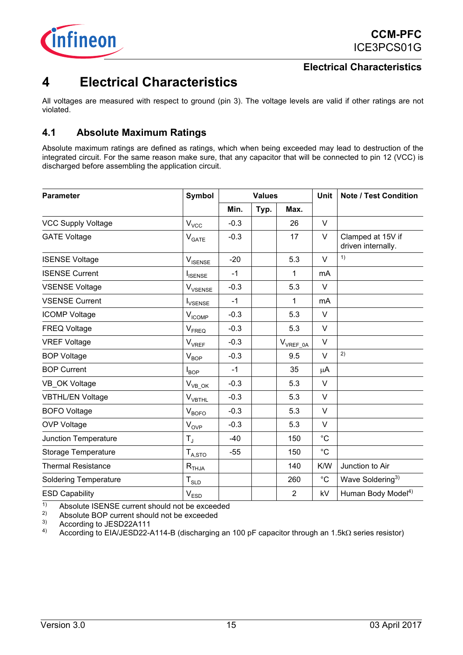

## <span id="page-14-0"></span>**4 Electrical Characteristics**

All voltages are measured with respect to ground (pin 3). The voltage levels are valid if other ratings are not violated.

## <span id="page-14-1"></span>**4.1 Absolute Maximum Ratings**

Absolute maximum ratings are defined as ratings, which when being exceeded may lead to destruction of the integrated circuit. For the same reason make sure, that any capacitor that will be connected to pin 12 (VCC) is discharged before assembling the application circuit.

| <b>Parameter</b>             | Symbol                                                  | <b>Values</b> |      | Unit           | <b>Note / Test Condition</b> |                                         |
|------------------------------|---------------------------------------------------------|---------------|------|----------------|------------------------------|-----------------------------------------|
|                              |                                                         | Min.          | Typ. | Max.           |                              |                                         |
| <b>VCC Supply Voltage</b>    | $\mathsf{V}_{\text{VCC}}$                               | $-0.3$        |      | 26             | V                            |                                         |
| <b>GATE Voltage</b>          | $V_{\text{GATE}}$                                       | $-0.3$        |      | 17             | $\vee$                       | Clamped at 15V if<br>driven internally. |
| <b>ISENSE Voltage</b>        | $\mathsf{V}_{\mathsf{ISENSE}}$                          | $-20$         |      | 5.3            | $\vee$                       | 1)                                      |
| <b>ISENSE Current</b>        | <b>ISENSE</b>                                           | $-1$          |      | 1              | mA                           |                                         |
| <b>VSENSE Voltage</b>        | $\mathsf{V}_{\text{VSENSE}}$                            | $-0.3$        |      | 5.3            | $\vee$                       |                                         |
| <b>VSENSE Current</b>        | <b>I</b> <sub>VSENSE</sub>                              | $-1$          |      | 1              | <b>mA</b>                    |                                         |
| <b>ICOMP Voltage</b>         | $\mathsf{V}_{\mathsf{ICOMP}}$                           | $-0.3$        |      | 5.3            | V                            |                                         |
| <b>FREQ Voltage</b>          | $\mathsf{V}_{\mathsf{F}\mathsf{R}\mathsf{E}\mathsf{Q}}$ | $-0.3$        |      | 5.3            | V                            |                                         |
| <b>VREF Voltage</b>          | $\mathsf{V}_{\mathsf{VREF}}$                            | $-0.3$        |      | $V_{VREF\_0A}$ | $\vee$                       |                                         |
| <b>BOP Voltage</b>           | $V_{BOP}$                                               | $-0.3$        |      | 9.5            | $\vee$                       | 2)                                      |
| <b>BOP Current</b>           | $I_{BOP}$                                               | $-1$          |      | 35             | μA                           |                                         |
| VB OK Voltage                | $V_{VB\_OK}$                                            | $-0.3$        |      | 5.3            | $\vee$                       |                                         |
| <b>VBTHL/EN Voltage</b>      | $\mathsf{V}_{\mathsf{VBTHL}}$                           | $-0.3$        |      | 5.3            | $\vee$                       |                                         |
| <b>BOFO</b> Voltage          | $V_{BOFO}$                                              | $-0.3$        |      | 5.3            | V                            |                                         |
| <b>OVP Voltage</b>           | $\mathsf{V}_{\mathsf{OVP}}$                             | $-0.3$        |      | 5.3            | $\vee$                       |                                         |
| Junction Temperature         | $T_{\rm J}$                                             | $-40$         |      | 150            | °C                           |                                         |
| Storage Temperature          | $T_{A, \mathrm{STO}}$                                   | $-55$         |      | 150            | °C                           |                                         |
| <b>Thermal Resistance</b>    | $\mathsf{R}_{\mathsf{THJA}}$                            |               |      | 140            | K/W                          | Junction to Air                         |
| <b>Soldering Temperature</b> | ${\sf T}_{\rm SLD}$                                     |               |      | 260            | °C                           | Wave Soldering <sup>3)</sup>            |
| <b>ESD Capability</b>        | $\mathsf{V}_{\mathsf{ESD}}$                             |               |      | 2              | kV                           | Human Body Model <sup>4)</sup>          |

<sup>1)</sup> Absolute ISENSE current should not be exceeded<br> $\frac{2}{3}$  Absolute POB current should not be exceeded

<sup>2)</sup> Absolute BOP current should not be exceeded<br><sup>3)</sup> According to IESD22A111

<sup>3)</sup> According to JESD22A111<br>4) According to FIA(JESD22-4)

4) According to EIA/JESD22-A114-B (discharging an 100 pF capacitor through an 1.5kΩ series resistor)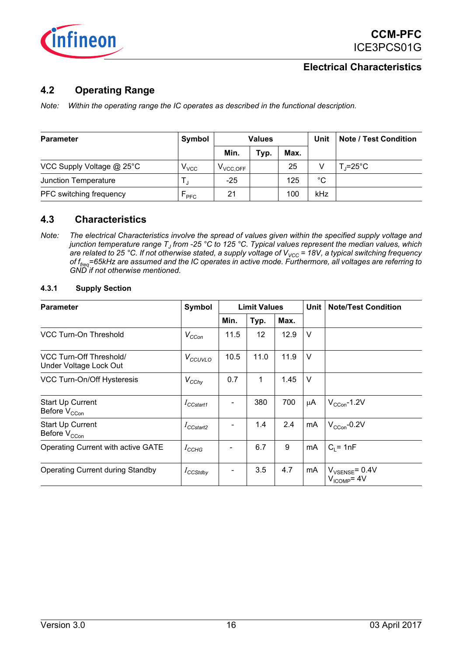

### <span id="page-15-0"></span>**4.2 Operating Range**

*Note: Within the operating range the IC operates as described in the functional description.*

| Parameter                 | Symbol           | <b>Values</b> |      |      | Unit | <b>Note / Test Condition</b> |
|---------------------------|------------------|---------------|------|------|------|------------------------------|
|                           |                  | Min.          | Typ. | Max. |      |                              |
| VCC Supply Voltage @ 25°C | $V_{\text{VCC}}$ | $V_{VCC,OFF}$ |      | 25   |      | T.=25°C                      |
| Junction Temperature      |                  | $-25$         |      | 125  | °C   |                              |
| PFC switching frequency   | $F_{\text{PFC}}$ | 21            |      | 100  | kHz  |                              |

#### <span id="page-15-1"></span>**4.3 Characteristics**

*Note: The electrical Characteristics involve the spread of values given within the specified supply voltage and junction temperature range TJ from -25 °C to 125 °C. Typical values represent the median values, which* are related to 25 °C. If not otherwise stated, a supply voltage of V<sub>VCC</sub> = 18V, a typical switching frequency *of ffreq=65kHz are assumed and the IC operates in active mode. Furthermore, all voltages are referring to GND if not otherwise mentioned.* 

<span id="page-15-2"></span>

| 4.3.1 |  | <b>Supply Section</b> |
|-------|--|-----------------------|
|-------|--|-----------------------|

| <b>Parameter</b>                                         | Symbol               | <b>Limit Values</b> |      |      | Unit   | <b>Note/Test Condition</b>           |
|----------------------------------------------------------|----------------------|---------------------|------|------|--------|--------------------------------------|
|                                                          |                      | Min.                | Typ. | Max. |        |                                      |
| VCC Turn-On Threshold                                    | $V_{CCon}$           | 11.5                | 12   | 12.9 | $\vee$ |                                      |
| <b>VCC Turn-Off Threshold/</b><br>Under Voltage Lock Out | $V_{CCUVLO}$         | 10.5                | 11.0 | 11.9 | $\vee$ |                                      |
| VCC Turn-On/Off Hysteresis                               | $V_{CChy}$           | 0.7                 | 1    | 1.45 | $\vee$ |                                      |
| <b>Start Up Current</b><br>Before V <sub>CCon</sub>      | $I_{CCstat1}$        |                     | 380  | 700  | μA     | $V_{CCon}$ -1.2V                     |
| Start Up Current<br>Before V <sub>CCon</sub>             | $I_{\text{CCstat2}}$ |                     | 1.4  | 2.4  | mA     | $V_{CCon}$ -0.2V                     |
| Operating Current with active GATE                       | $I_{\text{CCHG}}$    |                     | 6.7  | 9    | mA     | $C_1 = 1nF$                          |
| Operating Current during Standby                         | $I_{CCStdby}$        |                     | 3.5  | 4.7  | mA     | $V_{VSENSE}$ = 0.4V<br>$VICOMP = 4V$ |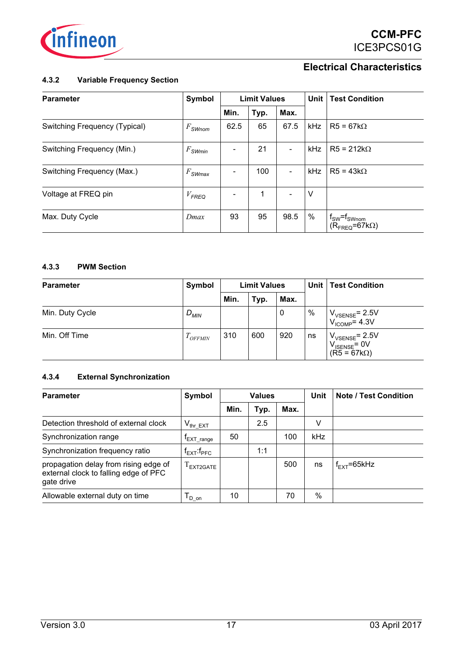

#### <span id="page-16-0"></span>**4.3.2 Variable Frequency Section**

| Parameter                     | Symbol                | <b>Limit Values</b> |      | Unit |     | <b>Test Condition</b>                                   |
|-------------------------------|-----------------------|---------------------|------|------|-----|---------------------------------------------------------|
|                               |                       | Min.                | Typ. | Max. |     |                                                         |
| Switching Frequency (Typical) | $F_{\mathsf{SWnom}}$  | 62.5                | 65   | 67.5 | kHz | $R5 = 67k\Omega$                                        |
| Switching Frequency (Min.)    | $F_{\mathsf{SWmin}}$  |                     | 21   | ۰    | kHz | $R5 = 212k\Omega$                                       |
| Switching Frequency (Max.)    | $F_{\mathcal{SWmax}}$ |                     | 100  | ٠    | kHz | $R5 = 43k\Omega$                                        |
| Voltage at FREQ pin           | $V_{\textsf{FREQ}}$   |                     | 1    | ۰    | v   |                                                         |
| Max. Duty Cycle               | Dmax                  | 93                  | 95   | 98.5 | %   | $f_{SW} = f_{SWnom}$<br>$(R_{\text{FRFO}} = 67k\Omega)$ |

#### <span id="page-16-1"></span>**4.3.3 PWM Section**

| Parameter       | Symbol     | <b>Limit Values</b> |      |      | Unit          | <b>Test Condition</b>                                                 |
|-----------------|------------|---------------------|------|------|---------------|-----------------------------------------------------------------------|
|                 |            | Min.                | Typ. | Max. |               |                                                                       |
| Min. Duty Cycle | $D_{MIN}$  |                     |      | 0    | $\frac{0}{0}$ | $V_{VSENSE}$ = 2.5V<br>$V_{ICOMP}$ = 4.3V                             |
| Min. Off Time   | $1$ OFFMIN | 310                 | 600  | 920  | ns            | $V_{VSENSE}$ = 2.5V<br>$V_{\text{ISENSE}}$ = 0V<br>$(R5 = 67k\Omega)$ |

#### <span id="page-16-2"></span>**4.3.4 External Synchronization**

| <b>Parameter</b>                                                                             | Symbol                        | <b>Values</b> |      |      | Unit | <b>Note / Test Condition</b> |
|----------------------------------------------------------------------------------------------|-------------------------------|---------------|------|------|------|------------------------------|
|                                                                                              |                               | Min.          | Typ. | Max. |      |                              |
| Detection threshold of external clock                                                        | $V_{thr EXT}$                 |               | 2.5  |      | V    |                              |
| Synchronization range                                                                        | EXT range                     | 50            |      | 100  | kHz  |                              |
| Synchronization frequency ratio                                                              | $f_{\sf FXT}$ : $f_{\sf PFC}$ |               | 1:1  |      |      |                              |
| propagation delay from rising edge of<br>external clock to falling edge of PFC<br>gate drive | $I$ FXT2GATE                  |               |      | 500  | ns   | $f_{\text{FXT}}$ =65kHz      |
| Allowable external duty on time                                                              | $\overline{P}$ D on           | 10            |      | 70   | %    |                              |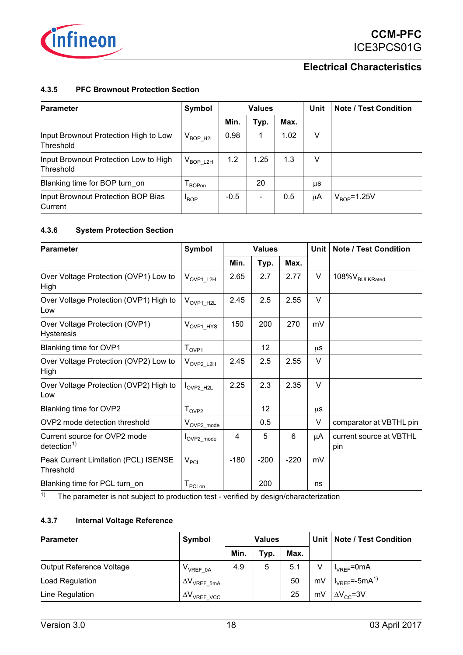

#### <span id="page-17-0"></span>**4.3.5 PFC Brownout Protection Section**

| <b>Parameter</b>                                   | Symbol             |        | <b>Values</b> |      |    | <b>Note / Test Condition</b> |
|----------------------------------------------------|--------------------|--------|---------------|------|----|------------------------------|
|                                                    |                    | Min.   | Typ.          | Max. |    |                              |
| Input Brownout Protection High to Low<br>Threshold | $V_{BOP H2L}$      | 0.98   |               | 1.02 | V  |                              |
| Input Brownout Protection Low to High<br>Threshold | $\rm V_{BOP\_L2H}$ | 1.2    | 1.25          | 1.3  | ν  |                              |
| Blanking time for BOP turn on                      | BOPon              |        | 20            |      | μS |                              |
| Input Brownout Protection BOP Bias<br>Current      | <b>BOP</b>         | $-0.5$ | ۰             | 0.5  | μA | $V_{\text{BOP}}$ =1.25V      |

#### <span id="page-17-1"></span>**4.3.6 System Protection Section**

| <b>Parameter</b>                                       | Symbol                        |        | <b>Values</b> |        | Unit   | <b>Note / Test Condition</b>   |
|--------------------------------------------------------|-------------------------------|--------|---------------|--------|--------|--------------------------------|
|                                                        |                               | Min.   | Typ.          | Max.   |        |                                |
| Over Voltage Protection (OVP1) Low to<br>High          | $V_{\text{OVP1}\_\text{L2H}}$ | 2.65   | 2.7           | 2.77   | $\vee$ | 108% V <sub>BULKRated</sub>    |
| Over Voltage Protection (OVP1) High to<br>Low          | $V_{\text{OVP1\_H2L}}$        | 2.45   | 2.5           | 2.55   | $\vee$ |                                |
| Over Voltage Protection (OVP1)<br><b>Hysteresis</b>    | $V_{OVP1\_HYS}$               | 150    | 200           | 270    | mV     |                                |
| Blanking time for OVP1                                 | $T_{\rm OVP1}$                |        | 12            |        | μS     |                                |
| Over Voltage Protection (OVP2) Low to<br>High          | $V_{\text{OVP2}\_\text{L2H}}$ | 2.45   | 2.5           | 2.55   | $\vee$ |                                |
| Over Voltage Protection (OVP2) High to<br>Low          | OVP2 H <sub>2L</sub>          | 2.25   | 2.3           | 2.35   | $\vee$ |                                |
| Blanking time for OVP2                                 | $T_{\text{OVP2}}$             |        | 12            |        | μS     |                                |
| OVP2 mode detection threshold                          | $V_{\text{OVP2\_mode}}$       |        | 0.5           |        | $\vee$ | comparator at VBTHL pin        |
| Current source for OVP2 mode<br>detection <sup>1</sup> | OVP2 mode                     | 4      | 5             | 6      | μA     | current source at VBTHL<br>pin |
| Peak Current Limitation (PCL) ISENSE<br>Threshold      | $V_{PCL}$                     | $-180$ | $-200$        | $-220$ | mV     |                                |
| Blanking time for PCL turn on                          | $T_{\text{PCLon}}$            |        | 200           |        | ns     |                                |

<sup>1)</sup> The parameter is not subject to production test - verified by design/characterization

### <span id="page-17-2"></span>**4.3.7 Internal Voltage Reference**

| Parameter                | Symbol                | <b>Values</b> |      |      |    | Unit   Note / Test Condition                             |
|--------------------------|-----------------------|---------------|------|------|----|----------------------------------------------------------|
|                          |                       | Min.          | Typ. | Max. |    |                                                          |
| Output Reference Voltage | V <sub>VREF 0A</sub>  | 4.9           | 5    | 5.1  |    | $I_{VRFF}$ =0mA                                          |
| Load Regulation          | $\Delta V_{VREF}$ 5mA |               |      | 50   | mV | $\overline{\phantom{a}}$ $I_{VREF}$ = -5mA <sup>1)</sup> |
| Line Regulation          | $\Delta V_{VREF VCC}$ |               |      | 25   | mV | $\Delta V_{CC}$ =3V                                      |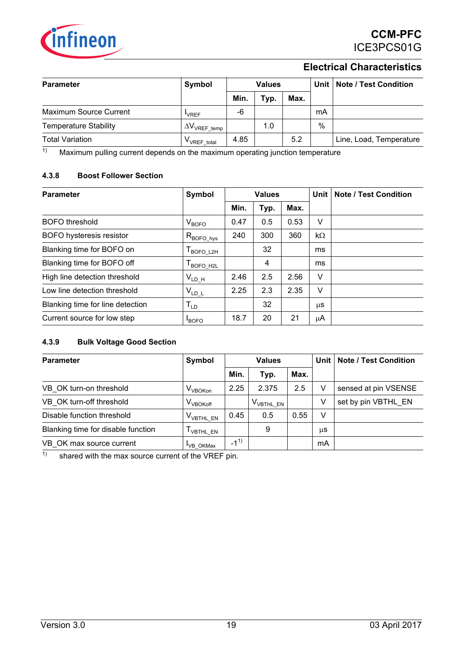

| <b>Parameter</b>             | Symbol                        | <b>Values</b> |      |      |    | Unit   Note / Test Condition |
|------------------------------|-------------------------------|---------------|------|------|----|------------------------------|
|                              |                               | Min.          | Typ. | Max. |    |                              |
| Maximum Source Current       | <b>VRFF</b>                   | -6            |      |      | mA |                              |
| <b>Temperature Stability</b> | $\Delta\rm{V_{VREF\_temp}}$ i |               | 1.0  |      | %  |                              |
| <b>Total Variation</b>       | V <sub>VREF</sub> total       | 4.85          |      | 5.2  |    | Line, Load, Temperature      |

 $1)$  Maximum pulling current depends on the maximum operating junction temperature

#### <span id="page-18-0"></span>**4.3.8 Boost Follower Section**

| Parameter                        | Symbol                   | <b>Values</b> |      |      | Unit      | <b>Note / Test Condition</b> |
|----------------------------------|--------------------------|---------------|------|------|-----------|------------------------------|
|                                  |                          | Min.          | Typ. | Max. |           |                              |
| <b>BOFO</b> threshold            | $V_{\text{BOFO}}$        | 0.47          | 0.5  | 0.53 | v         |                              |
| <b>BOFO</b> hysteresis resistor  | $R_{\mathsf{BOFO\_hys}}$ | 240           | 300  | 360  | $k\Omega$ |                              |
| Blanking time for BOFO on        | <b>BOFO L2H</b>          |               | 32   |      | ms        |                              |
| Blanking time for BOFO off       | BOFO H2L                 |               | 4    |      | ms        |                              |
| High line detection threshold    | $V_{LD_H}$               | 2.46          | 2.5  | 2.56 | $\vee$    |                              |
| Low line detection threshold     | $V_{LD\_L}$              | 2.25          | 2.3  | 2.35 | v         |                              |
| Blanking time for line detection | $T_{\text{LD}}$          |               | 32   |      | μS        |                              |
| Current source for low step      | <b>BOFO</b>              | 18.7          | 20   | 21   | μA        |                              |

#### <span id="page-18-1"></span>**4.3.9 Bulk Voltage Good Section**

| <b>Parameter</b>                   | Symbol                |          | <b>Values</b>         |      | Unit | <b>Note / Test Condition</b> |
|------------------------------------|-----------------------|----------|-----------------------|------|------|------------------------------|
|                                    |                       | Min.     | Typ.                  | Max. |      |                              |
| VB OK turn-on threshold            | I V <sub>VBOKon</sub> | 2.25     | 2.375                 | 2.5  | v    | sensed at pin VSENSE         |
| VB OK turn-off threshold           | $\rm V_{VBOKoff}$     |          | V <sub>VBTHL</sub> EN |      | V    | set by pin VBTHL EN          |
| Disable function threshold         | $V_{VBTHL\_EN}$       | 0.45     | 0.5                   | 0.55 | v    |                              |
| Blanking time for disable function | <b>VBTHL EN</b>       |          | 9                     |      | μS   |                              |
| VB OK max source current           | <sup>I</sup> VB OKMax | $-1^{1}$ |                       |      | mA   |                              |

 $\frac{1}{1}$  shared with the max source current of the VREF pin.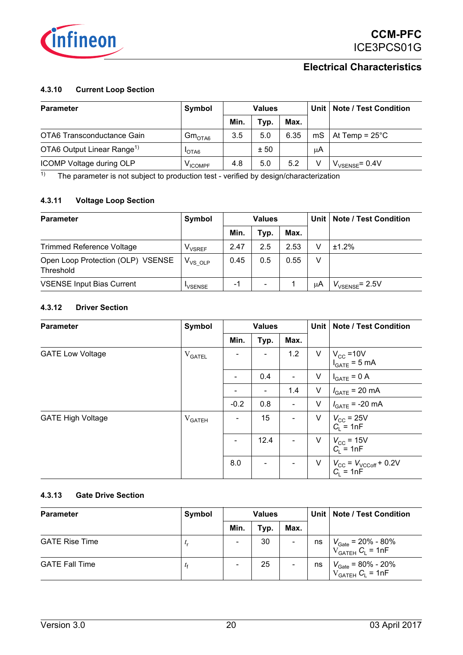

#### <span id="page-19-0"></span>**4.3.10 Current Loop Section**

| <b>Parameter</b>                       | Symbol                | <b>Values</b> |      |      |    | Unit   Note / Test Condition  |
|----------------------------------------|-----------------------|---------------|------|------|----|-------------------------------|
|                                        |                       | Min.          | Typ. | Max. |    |                               |
| OTA6 Transconductance Gain             | $\rm{Gm}_{\rm{OTA6}}$ | 3.5           | 5.0  | 6.35 |    | $MS$ At Temp = $25^{\circ}$ C |
| OTA6 Output Linear Range <sup>1)</sup> | <b>I</b> OTA6         |               | ± 50 |      | μA |                               |
| ICOMP Voltage during OLP               | V <sub>ICOMPF</sub>   | 4.8           | 5.0  | 5.2  |    | $V_{VSENSF}$ = 0.4V           |

 $\overline{11}$  The parameter is not subject to production test - verified by design/characterization

#### <span id="page-19-1"></span>**4.3.11 Voltage Loop Section**

| <b>Parameter</b>                               | Symbol        | <b>Values</b> |      |      | Unit | <b>Note / Test Condition</b> |
|------------------------------------------------|---------------|---------------|------|------|------|------------------------------|
|                                                |               | Min.          | Typ. | Max. |      |                              |
| <b>Trimmed Reference Voltage</b>               | $V_{VSRFF}$   | 2.47          | 2.5  | 2.53 | V    | ±1.2%                        |
| Open Loop Protection (OLP) VSENSE<br>Threshold | $V_{VS, OLP}$ | 0.45          | 0.5  | 0.55 | ٧    |                              |
| <b>VSENSE Input Bias Current</b>               | <b>VSENSE</b> | -1            |      |      | μA   | $V_{VSENSE}$ = 2.5V          |

#### <span id="page-19-2"></span>**4.3.12 Driver Section**

| <b>Parameter</b>         | Symbol                             |        | <b>Values</b> |      |        | <b>Note / Test Condition</b>                                       |
|--------------------------|------------------------------------|--------|---------------|------|--------|--------------------------------------------------------------------|
|                          |                                    | Min.   | Typ.          | Max. |        |                                                                    |
| <b>GATE Low Voltage</b>  | ${\rm V}_{\scriptsize{\sf GATEL}}$ |        |               | 1.2  | V      | $V_{\text{CC}} = 10V$<br>$I_{\text{GATE}} = 5 \text{ mA}$          |
|                          |                                    |        | 0.4           | ٠    | V      | $I_{GATE} = 0 A$                                                   |
|                          |                                    | -      | ۰             | 1.4  | $\vee$ | $I_{\text{GATE}}$ = 20 mA                                          |
|                          |                                    | $-0.2$ | 0.8           | ۰    | $\vee$ | $I_{GATE}$ = -20 mA                                                |
| <b>GATE High Voltage</b> | V <sub>GATEH</sub>                 | ۰      | 15            | ٠    | $\vee$ | $V_{CC}$ = 25V<br>$C_1$ = 1nF                                      |
|                          |                                    | ۰      | 12.4          | ۰    | $\vee$ | $V_{\text{CC}}$ = 15V<br>$C_1 = 1nF$                               |
|                          |                                    | 8.0    |               |      | V      | $V_{\text{CC}} = V_{\text{VCCoff}} + 0.2V$<br>C <sub>L</sub> = 1nF |

### <span id="page-19-3"></span>**4.3.13 Gate Drive Section**

| Parameter             | Symbol    | <b>Values</b>            |      |                          |    | Unit   Note / Test Condition                                                                                           |
|-----------------------|-----------|--------------------------|------|--------------------------|----|------------------------------------------------------------------------------------------------------------------------|
|                       |           | Min.                     | Typ. | Max.                     |    |                                                                                                                        |
| <b>GATE Rise Time</b> | $\iota_r$ | $\overline{\phantom{a}}$ | 30   | $\overline{\phantom{a}}$ | ns | $\begin{array}{c} V_{\text{Gate}} = 20\% \text{ - } 80\% \\ V_{\text{GATEH}} \ C_{\text{L}} = 1 \text{nF} \end{array}$ |
| <b>GATE Fall Time</b> | $\iota$   | $\overline{\phantom{a}}$ | 25   | $\overline{\phantom{a}}$ | ns | $V_{\text{Gate}} = 80\% - 20\%$<br>$V_{\text{GATEH}} C_{\text{L}} = 1 \text{nF}$                                       |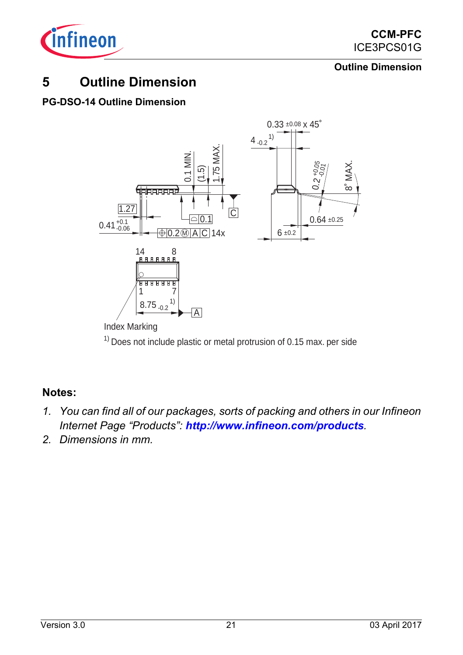

## **Outline Dimension**

## <span id="page-20-0"></span>**5 Outline Dimension**

## **PG-DSO-14 Outline Dimension**



## <span id="page-20-1"></span>**Notes:**

- *1. You can find all of our packages, sorts of packing and others in our Infineon Internet Page "Products": http://www.infineon.com/products.*
- *2. Dimensions in mm.*